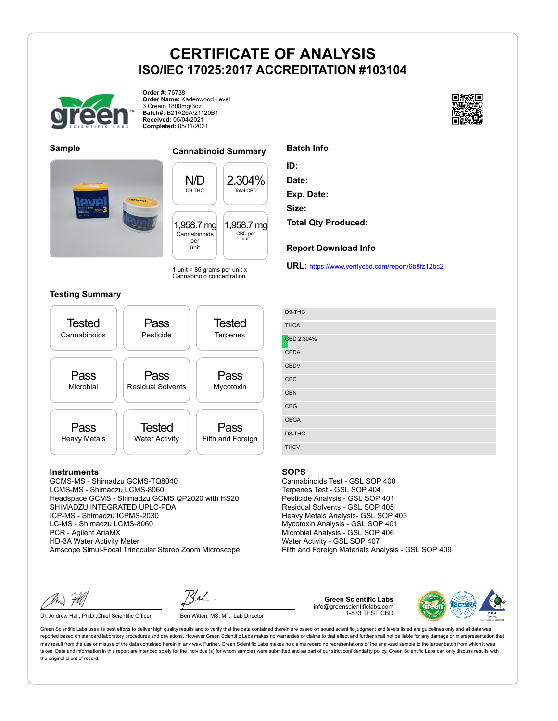

**Order #:** 76738 **Order Name:** Kadenwood Level 3 Cream 1800mg/3oz **Batch#:** B21A26A/21120B1 **Received:** 05/04/2021 **Completed:** 05/11/2021





### **Sample Cannabinoid Summary**

N/D D9-THC 2.304% Total CBD 1,958.7 mg Cannabinoids per unit 1,958.7 mg CBD per unit

1 unit =  $85$  grams per unit x Cannabinoid concentration

#### **Testing Summary**



#### **Instruments**

GCMS-MS - Shimadzu GCMS-TQ8040 LCMS-MS - Shimadzu LCMS-8060 Headspace GCMS - Shimadzu GCMS QP2020 with HS20 SHIMADZU INTEGRATED UPLC-PDA ICP-MS - Shimadzu ICPMS-2030 LC-MS - Shimadzu LCMS-8060 PCR - Agilent AriaMX HD-3A Water Activity Meter Amscope Simul-Focal Trinocular Stereo Zoom Microscope

Dr. Andrew Hall, Ph.D., Chief Scientific Officer Ben Witten, MS, MT., Lab Director

**Green Scientific Labs** info@greenscientificlabs.com 1-833 TEST CBD



Green Scientific Labs uses its best efforts to deliver high quality results and to verify that the data contained therein are based on sound scientific judgment and levels listed are guidelines only and all data was reported based on standard laboratory procedures and deviations. However Green Scientific Labs makes no warranties or claims to that effect and further shall not be liable for any damage or misrepresentation that may result from the use or misuse of the data contained herein in any way. Further, Green Scientific Labs makes no claims regarding representations of the analyzed sample to the larger batch from which it was taken. Data and information in this report are intended solely for the individual(s) for whom samples were submitted and as part of our strict confidentiality policy, Green Scientific Labs can only discuss results with the original client of record.



| <b>Batch Info</b> |  |
|-------------------|--|
|                   |  |

- **ID:**
- **Date:**

**Exp. Date:**

**Size:**

**Total Qty Produced:**

#### **Report Download Info**

**URL:** https://www.verifycbd.com/report/6b8fz12bc2

| D9-THC      |
|-------------|
| <b>THCA</b> |
| CBD 2.304%  |
| <b>CBDA</b> |
| <b>CBDV</b> |
| CBC         |
| CBN         |
| <b>CBG</b>  |
| <b>CBGA</b> |
| D8-THC      |
| <b>THCV</b> |

#### **SOPS**

Cannabinoids Test - GSL SOP 400 Terpenes Test - GSL SOP 404 Pesticide Analysis - GSL SOP 401 Residual Solvents - GSL SOP 405 Heavy Metals Analysis- GSL SOP 403 Mycotoxin Analysis - GSL SOP 401 Microbial Analysis - GSL SOP 406 Water Activity - GSL SOP 407 Filth and Foreign Materials Analysis - GSL SOP 409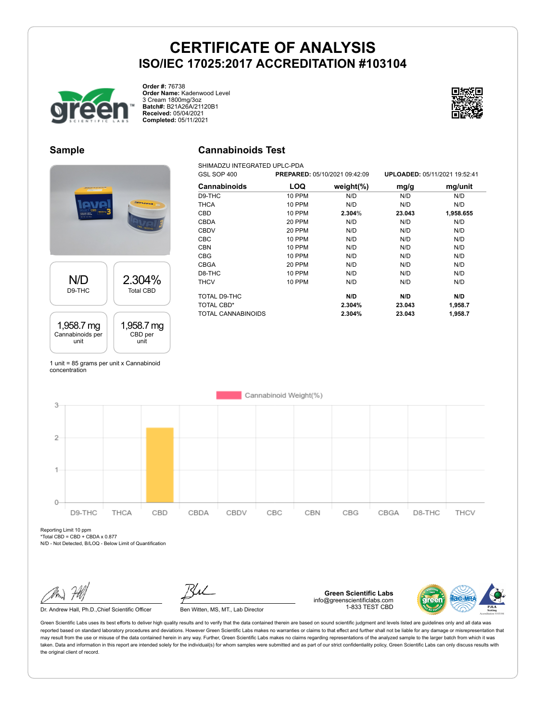

**Order #:** 76738 **Order Name:** Kadenwood Level 3 Cream 1800mg/3oz **Batch#:** B21A26A/21120B1 **Received:** 05/04/2021 **Completed:** 05/11/2021

### **Sample**

# N/D D9-THC 2.304% Total CBD 1,958.7 mg Cannabinoids per unit 1,958.7 mg CBD per unit

1 unit = 85 grams per unit x Cannabinoid concentration

### **Cannabinoids Test**

SHIMADZU INTEGRATED UPLC-PDA

| GSL SOP 400        |               | PREPARED: 05/10/2021 09:42:09 |        | UPLOADED: 05/11/2021 19:52:41 |
|--------------------|---------------|-------------------------------|--------|-------------------------------|
| Cannabinoids       | <b>LOQ</b>    | weight $(\%)$                 | mg/g   | mg/unit                       |
| D9-THC             | <b>10 PPM</b> | N/D                           | N/D    | N/D                           |
| <b>THCA</b>        | 10 PPM        | N/D                           | N/D    | N/D                           |
| <b>CBD</b>         | 10 PPM        | 2.304%                        | 23.043 | 1,958.655                     |
| CBDA               | <b>20 PPM</b> | N/D                           | N/D    | N/D                           |
| <b>CBDV</b>        | <b>20 PPM</b> | N/D                           | N/D    | N/D                           |
| <b>CBC</b>         | 10 PPM        | N/D                           | N/D    | N/D                           |
| <b>CBN</b>         | <b>10 PPM</b> | N/D                           | N/D    | N/D                           |
| CBG                | <b>10 PPM</b> | N/D                           | N/D    | N/D                           |
| <b>CBGA</b>        | 20 PPM        | N/D                           | N/D    | N/D                           |
| D8-THC             | <b>10 PPM</b> | N/D                           | N/D    | N/D                           |
| <b>THCV</b>        | 10 PPM        | N/D                           | N/D    | N/D                           |
| TOTAL D9-THC       |               | N/D                           | N/D    | N/D                           |
| TOTAL CBD*         |               | 2.304%                        | 23.043 | 1,958.7                       |
| TOTAL CANNABINOIDS |               | 2.304%                        | 23.043 | 1,958.7                       |



Reporting Limit 10 ppm  $*Total CBD = CBD + CBDA \times 0.877$ 

N/D - Not Detected, B/LOQ - Below Limit of Quantification

Dr. Andrew Hall, Ph.D., Chief Scientific Officer Ben Witten, MS, MT., Lab Director

**Green Scientific Labs** info@greenscientificlabs.com 1-833 TEST CBD

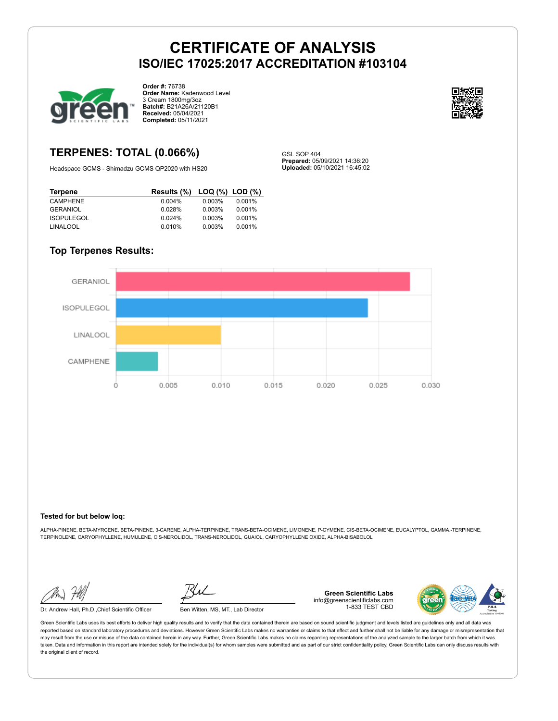GSL SOP 404

**Prepared:** 05/09/2021 14:36:20 **Uploaded:** 05/10/2021 16:45:02



**Order #:** 76738 **Order Name:** Kadenwood Level 3 Cream 1800mg/3oz **Batch#:** B21A26A/21120B1 **Received:** 05/04/2021 **Completed:** 05/11/2021



### **TERPENES: TOTAL (0.066%)**

Headspace GCMS - Shimadzu GCMS QP2020 with HS20

| Terpene           | Results (%) LOQ (%) LOD (%) |        |        |
|-------------------|-----------------------------|--------|--------|
| <b>CAMPHENE</b>   | $0.004\%$                   | 0.003% | 0.001% |
| <b>GERANIOL</b>   | 0.028%                      | 0.003% | 0.001% |
| <b>ISOPULEGOL</b> | 0.024%                      | 0.003% | 0.001% |
| LINALOOL          | 0.010%                      | 0.003% | 0.001% |

### **Top Terpenes Results:**



#### **Tested for but below loq:**

ALPHA-PINENE, BETA-MYRCENE, BETA-PINENE, 3-CARENE, ALPHA-TERPINENE, TRANS-BETA-OCIMENE, LIMONENE, P-CYMENE, CIS-BETA-OCIMENE, EUCALYPTOL, GAMMA.-TERPINENE, TERPINOLENE, CARYOPHYLLENE, HUMULENE, CIS-NEROLIDOL, TRANS-NEROLIDOL, GUAIOL, CARYOPHYLLENE OXIDE, ALPHA-BISABOLOL

Dr. Andrew Hall, Ph.D., Chief Scientific Officer Ben Witten, MS, MT., Lab Director

**Green Scientific Labs** info@greenscientificlabs.com 1-833 TEST CBD

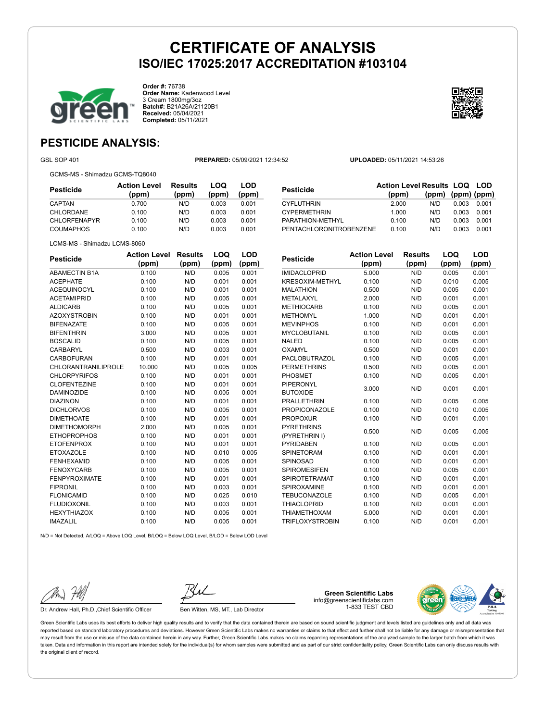

**Order #:** 76738 **Order Name:** Kadenwood Level 3 Cream 1800mg/3oz **Batch#:** B21A26A/21120B1 **Received:** 05/04/2021 **Completed:** 05/11/2021



## **PESTICIDE ANALYSIS:**

GSL SOP 401 **PREPARED:** 05/09/2021 12:34:52 **UPLOADED:** 05/11/2021 14:53:26

GCMS-MS - Shimadzu GCMS-TQ8040

| Pesticide           | <b>Action Level</b><br>(ppm) | <b>Results</b><br>(ppm) | LOQ<br>(ppm) | LOD<br>(ppm) |
|---------------------|------------------------------|-------------------------|--------------|--------------|
| <b>CAPTAN</b>       | 0.700                        | N/D                     | 0.003        | 0.001        |
| CHLORDANE           | 0.100                        | N/D                     | 0.003        | 0.001        |
| <b>CHLORFENAPYR</b> | 0.100                        | N/D                     | 0.003        | 0.001        |
| <b>COUMAPHOS</b>    | 0.100                        | N/D                     | 0.003        | 0.001        |

| Pesticide               | <b>Action Level Results LOQ LOD</b><br>(ppm) | (ppm) (ppm) (ppm) |       |       |
|-------------------------|----------------------------------------------|-------------------|-------|-------|
| CYFLUTHRIN              | 2.000                                        | N/D               | 0.003 | 0.001 |
| <b>CYPERMETHRIN</b>     | 1.000                                        | N/D               | 0.003 | 0.001 |
| PARATHION-METHYL        | 0.100                                        | N/D               | 0.003 | 0.001 |
| PENTACHLORONITROBENZENE | 0.100                                        | N/D               | 0.003 | 0.001 |

|  | LCMS-MS - Shimadzu LCMS-8060 |
|--|------------------------------|
|  |                              |

| <b>Pesticide</b>           | <b>Action Level</b> | Results | LOQ   | LOD   |
|----------------------------|---------------------|---------|-------|-------|
|                            | (ppm)               | (ppm)   | (ppm) | (ppm) |
| <b>ABAMECTIN B1A</b>       | 0.100               | N/D     | 0.005 | 0.001 |
| <b>ACEPHATE</b>            | 0.100               | N/D     | 0.001 | 0.001 |
| <b>ACEQUINOCYL</b>         | 0.100               | N/D     | 0.001 | 0.001 |
| <b>ACETAMIPRID</b>         | 0.100               | N/D     | 0.005 | 0.001 |
| <b>ALDICARB</b>            | 0.100               | N/D     | 0.005 | 0.001 |
| <b>AZOXYSTROBIN</b>        | 0.100               | N/D     | 0.001 | 0.001 |
| <b>BIFENAZATE</b>          | 0.100               | N/D     | 0.005 | 0.001 |
| <b>BIFENTHRIN</b>          | 3.000               | N/D     | 0.005 | 0.001 |
| <b>BOSCALID</b>            | 0.100               | N/D     | 0.005 | 0.001 |
| CARBARYL                   | 0.500               | N/D     | 0.003 | 0.001 |
| CARBOFURAN                 | 0.100               | N/D     | 0.001 | 0.001 |
| <b>CHLORANTRANILIPROLE</b> | 10.000              | N/D     | 0.005 | 0.005 |
| <b>CHLORPYRIFOS</b>        | 0.100               | N/D     | 0.001 | 0.001 |
| <b>CLOFENTEZINE</b>        | 0.100               | N/D     | 0.001 | 0.001 |
| <b>DAMINOZIDE</b>          | 0.100               | N/D     | 0.005 | 0.001 |
| <b>DIAZINON</b>            | 0.100               | N/D     | 0.001 | 0.001 |
| <b>DICHLORVOS</b>          | 0.100               | N/D     | 0.005 | 0.001 |
| <b>DIMETHOATE</b>          | 0.100               | N/D     | 0.001 | 0.001 |
| <b>DIMETHOMORPH</b>        | 2.000               | N/D     | 0.005 | 0.001 |
| <b>ETHOPROPHOS</b>         | 0.100               | N/D     | 0.001 | 0.001 |
| <b>ETOFENPROX</b>          | 0.100               | N/D     | 0.001 | 0.001 |
| <b>ETOXAZOLE</b>           | 0.100               | N/D     | 0.010 | 0.005 |
| <b>FENHEXAMID</b>          | 0.100               | N/D     | 0.005 | 0.001 |
| <b>FENOXYCARB</b>          | 0.100               | N/D     | 0.005 | 0.001 |
| <b>FENPYROXIMATE</b>       | 0.100               | N/D     | 0.001 | 0.001 |
| <b>FIPRONIL</b>            | 0.100               | N/D     | 0.003 | 0.001 |
| <b>FLONICAMID</b>          | 0.100               | N/D     | 0.025 | 0.010 |
| <b>FLUDIOXONIL</b>         | 0.100               | N/D     | 0.003 | 0.001 |
| <b>HEXYTHIAZOX</b>         | 0.100               | N/D     | 0.005 | 0.001 |
| <b>IMAZALIL</b>            | 0.100               | N/D     | 0.005 | 0.001 |

| <b>Pesticide</b>       | <b>Action Level</b> | <b>Results</b> | LOQ   | LOD   |
|------------------------|---------------------|----------------|-------|-------|
|                        | (ppm)               | (ppm)          | (ppm) | (ppm) |
| <b>IMIDACLOPRID</b>    | 5.000               | N/D            | 0.005 | 0.001 |
| KRESOXIM-METHYL        | 0.100               | N/D            | 0.010 | 0.005 |
| <b>MALATHION</b>       | 0.500               | N/D            | 0.005 | 0.001 |
| <b>METALAXYL</b>       | 2.000               | N/D            | 0.001 | 0.001 |
| <b>METHIOCARB</b>      | 0.100               | N/D            | 0.005 | 0.001 |
| <b>METHOMYL</b>        | 1.000               | N/D            | 0.001 | 0.001 |
| <b>MEVINPHOS</b>       | 0.100               | N/D            | 0.001 | 0.001 |
| <b>MYCLOBUTANIL</b>    | 0.100               | N/D            | 0.005 | 0.001 |
| <b>NALED</b>           | 0.100               | N/D            | 0.005 | 0.001 |
| OXAMYL                 | 0.500               | N/D            | 0.001 | 0.001 |
| <b>PACLOBUTRAZOL</b>   | 0.100               | N/D            | 0.005 | 0.001 |
| <b>PERMETHRINS</b>     | 0.500               | N/D            | 0.005 | 0.001 |
| PHOSMET                | 0.100               | N/D            | 0.005 | 0.001 |
| <b>PIPERONYL</b>       | 3.000               | N/D            | 0.001 |       |
| <b>BUTOXIDE</b>        |                     |                |       | 0.001 |
| <b>PRALLETHRIN</b>     | 0.100               | N/D            | 0.005 | 0.005 |
| <b>PROPICONAZOLE</b>   | 0.100               | N/D            | 0.010 | 0.005 |
| <b>PROPOXUR</b>        | 0.100               | N/D            | 0.001 | 0.001 |
| <b>PYRETHRINS</b>      | 0.500               | N/D            | 0.005 | 0.005 |
| (PYRETHRIN I)          |                     |                |       |       |
| <b>PYRIDABEN</b>       | 0.100               | N/D            | 0.005 | 0.001 |
| <b>SPINETORAM</b>      | 0.100               | N/D            | 0.001 | 0.001 |
| SPINOSAD               | 0.100               | N/D            | 0.001 | 0.001 |
| <b>SPIROMESIFEN</b>    | 0.100               | N/D            | 0.005 | 0.001 |
| <b>SPIROTETRAMAT</b>   | 0.100               | N/D            | 0.001 | 0.001 |
| SPIROXAMINE            | 0.100               | N/D            | 0.001 | 0.001 |
| <b>TEBUCONAZOLE</b>    | 0.100               | N/D            | 0.005 | 0.001 |
| <b>THIACLOPRID</b>     | 0.100               | N/D            | 0.001 | 0.001 |
| <b>THIAMETHOXAM</b>    | 5.000               | N/D            | 0.001 | 0.001 |
| <b>TRIFLOXYSTROBIN</b> | 0.100               | N/D            | 0.001 | 0.001 |

N/D = Not Detected, A/LOQ = Above LOQ Level, B/LOQ = Below LOQ Level, B/LOD = Below LOD Level

Dr. Andrew Hall, Ph.D., Chief Scientific Officer Ben Witten, MS, MT., Lab Director

**Green Scientific Labs** info@greenscientificlabs.com 1-833 TEST CBD

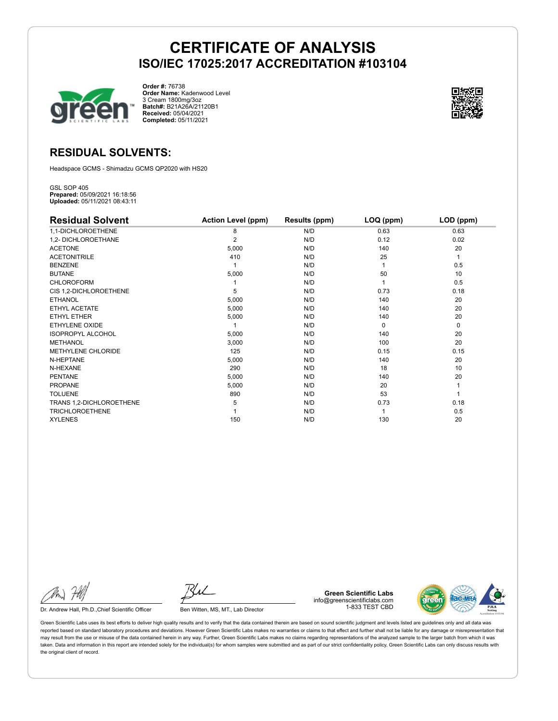

**Order #:** 76738 **Order Name:** Kadenwood Level 3 Cream 1800mg/3oz **Batch#:** B21A26A/21120B1 **Received:** 05/04/2021 **Completed:** 05/11/2021



### **RESIDUAL SOLVENTS:**

Headspace GCMS - Shimadzu GCMS QP2020 with HS20

GSL SOP 405 **Prepared:** 05/09/2021 16:18:56 **Uploaded:** 05/11/2021 08:43:11

| <b>Residual Solvent</b>  | <b>Action Level (ppm)</b> | Results (ppm) | LOQ (ppm) | LOD (ppm) |
|--------------------------|---------------------------|---------------|-----------|-----------|
| 1,1-DICHLOROETHENE       | 8                         | N/D           | 0.63      | 0.63      |
| 1,2- DICHLOROETHANE      | 2                         | N/D           | 0.12      | 0.02      |
| <b>ACETONE</b>           | 5,000                     | N/D           | 140       | 20        |
| <b>ACETONITRILE</b>      | 410                       | N/D           | 25        | 1         |
| <b>BENZENE</b>           |                           | N/D           |           | 0.5       |
| <b>BUTANE</b>            | 5,000                     | N/D           | 50        | 10        |
| <b>CHLOROFORM</b>        |                           | N/D           |           | 0.5       |
| CIS 1,2-DICHLOROETHENE   | 5                         | N/D           | 0.73      | 0.18      |
| <b>ETHANOL</b>           | 5,000                     | N/D           | 140       | 20        |
| ETHYL ACETATE            | 5,000                     | N/D           | 140       | 20        |
| <b>ETHYL ETHER</b>       | 5,000                     | N/D           | 140       | 20        |
| ETHYLENE OXIDE           |                           | N/D           | $\Omega$  | 0         |
| <b>ISOPROPYL ALCOHOL</b> | 5,000                     | N/D           | 140       | 20        |
| <b>METHANOL</b>          | 3,000                     | N/D           | 100       | 20        |
| METHYLENE CHLORIDE       | 125                       | N/D           | 0.15      | 0.15      |
| N-HEPTANE                | 5,000                     | N/D           | 140       | 20        |
| N-HEXANE                 | 290                       | N/D           | 18        | 10        |
| <b>PENTANE</b>           | 5,000                     | N/D           | 140       | 20        |
| <b>PROPANE</b>           | 5,000                     | N/D           | 20        |           |
| <b>TOLUENE</b>           | 890                       | N/D           | 53        |           |
| TRANS 1,2-DICHLOROETHENE | 5                         | N/D           | 0.73      | 0.18      |
| <b>TRICHLOROETHENE</b>   |                           | N/D           |           | 0.5       |
| <b>XYLENES</b>           | 150                       | N/D           | 130       | 20        |

Dr. Andrew Hall, Ph.D., Chief Scientific Officer Ben Witten, MS, MT., Lab Director

**Green Scientific Labs** info@greenscientificlabs.com 1-833 TEST CBD

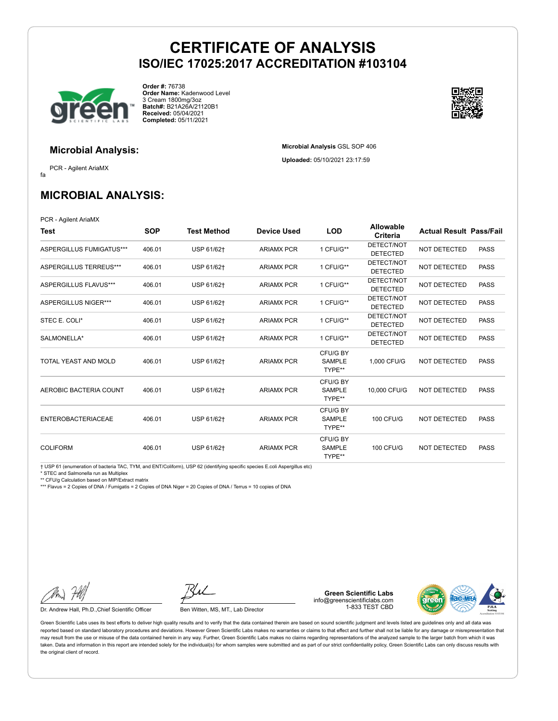**Microbial Analysis** GSL SOP 406 **Uploaded:** 05/10/2021 23:17:59



**Order #:** 76738 **Order Name:** Kadenwood Level 3 Cream 1800mg/3oz **Batch#:** B21A26A/21120B1 **Received:** 05/04/2021 **Completed:** 05/11/2021



### **Microbial Analysis:**

fa PCR - Agilent AriaMX

**MICROBIAL ANALYSIS:**

PCR - Agilent AriaMX

| Test                          | <b>SOP</b> | <b>Test Method</b> | <b>Device Used</b> | <b>LOD</b>                          | <b>Allowable</b><br>Criteria  | <b>Actual Result Pass/Fail</b> |             |
|-------------------------------|------------|--------------------|--------------------|-------------------------------------|-------------------------------|--------------------------------|-------------|
| ASPERGILLUS FUMIGATUS***      | 406.01     | USP 61/62+         | <b>ARIAMX PCR</b>  | 1 CFU/G**                           | DETECT/NOT<br><b>DETECTED</b> | <b>NOT DETECTED</b>            | <b>PASS</b> |
| <b>ASPERGILLUS TERREUS***</b> | 406.01     | USP 61/62+         | <b>ARIAMX PCR</b>  | 1 CFU/G**                           | DETECT/NOT<br><b>DETECTED</b> | <b>NOT DETECTED</b>            | <b>PASS</b> |
| ASPERGILLUS FLAVUS***         | 406.01     | USP 61/62+         | <b>ARIAMX PCR</b>  | 1 CFU/G**                           | DETECT/NOT<br><b>DETECTED</b> | <b>NOT DETECTED</b>            | <b>PASS</b> |
| ASPERGILLUS NIGER***          | 406.01     | USP 61/62†         | <b>ARIAMX PCR</b>  | 1 CFU/G**                           | DETECT/NOT<br><b>DETECTED</b> | <b>NOT DETECTED</b>            | <b>PASS</b> |
| STEC E. COLI*                 | 406.01     | USP 61/62+         | <b>ARIAMX PCR</b>  | 1 CFU/G**                           | DETECT/NOT<br><b>DETECTED</b> | NOT DETECTED                   | <b>PASS</b> |
| SALMONELLA*                   | 406.01     | USP 61/62+         | <b>ARIAMX PCR</b>  | 1 CFU/G**                           | DETECT/NOT<br><b>DETECTED</b> | <b>NOT DETECTED</b>            | <b>PASS</b> |
| TOTAL YEAST AND MOLD          | 406.01     | USP 61/62+         | <b>ARIAMX PCR</b>  | CFU/G BY<br><b>SAMPLE</b><br>TYPE** | 1.000 CFU/G                   | <b>NOT DETECTED</b>            | <b>PASS</b> |
| AEROBIC BACTERIA COUNT        | 406.01     | USP 61/62+         | <b>ARIAMX PCR</b>  | CFU/G BY<br><b>SAMPLE</b><br>TYPE** | 10,000 CFU/G                  | <b>NOT DETECTED</b>            | <b>PASS</b> |
| <b>ENTEROBACTERIACEAE</b>     | 406.01     | USP 61/62+         | <b>ARIAMX PCR</b>  | CFU/G BY<br><b>SAMPLE</b><br>TYPE** | <b>100 CFU/G</b>              | <b>NOT DETECTED</b>            | <b>PASS</b> |
| <b>COLIFORM</b>               | 406.01     | USP 61/62+         | <b>ARIAMX PCR</b>  | CFU/G BY<br><b>SAMPLE</b><br>TYPE** | <b>100 CFU/G</b>              | <b>NOT DETECTED</b>            | <b>PASS</b> |

† USP 61 (enumeration of bacteria TAC, TYM, and ENT/Coliform), USP 62 (identifying specific species E.coli Aspergillus etc)

\* STEC and Salmonella run as Multiplex

\*\* CFU/g Calculation based on MIP/Extract matrix

\*\*\* Flavus = 2 Copies of DNA / Fumigatis = 2 Copies of DNA Niger = 20 Copies of DNA / Terrus = 10 copies of DNA

Dr. Andrew Hall, Ph.D., Chief Scientific Officer Ben Witten, MS, MT., Lab Director

**Green Scientific Labs** info@greenscientificlabs.com 1-833 TEST CBD